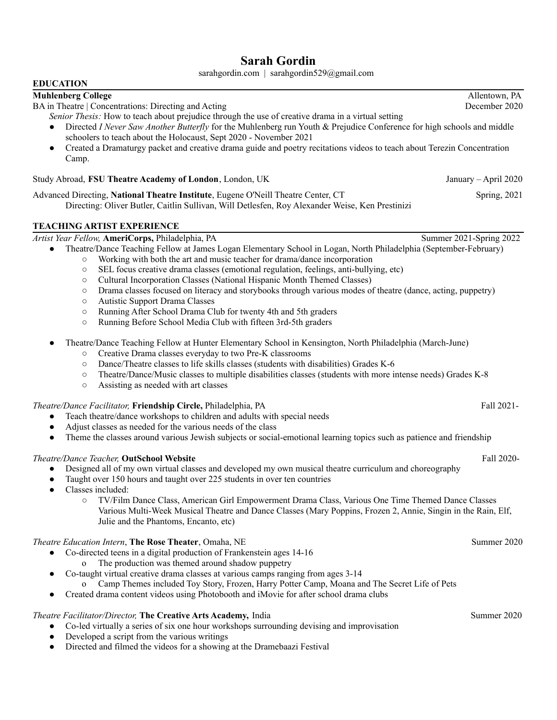# **Sarah Gordin**

sarahgordin.com | sarahgordin529@gmail.com

#### **EDUCATION**

# **Muhlenberg College** Allentown, PA

BA in Theatre | Concentrations: Directing and Acting December 2020

- *Senior Thesis:* How to teach about prejudice through the use of creative drama in a virtual setting
- Directed *I Never Saw Another Butterfly* for the Muhlenberg run Youth & Prejudice Conference for high schools and middle schoolers to teach about the Holocaust, Sept 2020 - November 2021
- Created a Dramaturgy packet and creative drama guide and poetry recitations videos to teach about Terezin Concentration Camp.

#### Study Abroad, **FSU Theatre Academy of London**, London, UK January – April 2020

Advanced Directing, **National Theatre Institute**, Eugene O'Neill Theatre Center, CT Spring, 2021 Directing: Oliver Butler, Caitlin Sullivan, Will Detlesfen, Roy Alexander Weise, Ken Prestinizi

### **TEACHING ARTIST EXPERIENCE**

# *Artist Year Fellow,* **AmeriCorps,** Philadelphia, PA Summer 2021-Spring 2022

- Theatre/Dance Teaching Fellow at James Logan Elementary School in Logan, North Philadelphia (September-February)
	- Working with both the art and music teacher for drama/dance incorporation
	- SEL focus creative drama classes (emotional regulation, feelings, anti-bullying, etc)
	- Cultural Incorporation Classes (National Hispanic Month Themed Classes)
	- Drama classes focused on literacy and storybooks through various modes of theatre (dance, acting, puppetry)
	- Autistic Support Drama Classes
	- Running After School Drama Club for twenty 4th and 5th graders
	- Running Before School Media Club with fifteen 3rd-5th graders
- Theatre/Dance Teaching Fellow at Hunter Elementary School in Kensington, North Philadelphia (March-June)
	- Creative Drama classes everyday to two Pre-K classrooms
	- Dance/Theatre classes to life skills classes (students with disabilities) Grades K-6
	- Theatre/Dance/Music classes to multiple disabilities classes (students with more intense needs) Grades K-8
	- Assisting as needed with art classes

## *Theatre/Dance Facilitator,* **Friendship Circle,** Philadelphia, PA Fall 2021-

- Teach theatre/dance workshops to children and adults with special needs
- Adjust classes as needed for the various needs of the class
- Theme the classes around various Jewish subjects or social-emotional learning topics such as patience and friendship

# *Theatre/Dance Teacher,* **OutSchool Website** Fall 2020-

- Designed all of my own virtual classes and developed my own musical theatre curriculum and choreography
- Taught over 150 hours and taught over 225 students in over ten countries
- Classes included:
	- TV/Film Dance Class, American Girl Empowerment Drama Class, Various One Time Themed Dance Classes Various Multi-Week Musical Theatre and Dance Classes (Mary Poppins, Frozen 2, Annie, Singin in the Rain, Elf, Julie and the Phantoms, Encanto, etc)

## *Theatre Education Intern***, The Rose Theater**, Omaha, NE Summer 2020

- Co-directed teens in a digital production of Frankenstein ages 14-16 o The production was themed around shadow puppetry
- Co-taught virtual creative drama classes at various camps ranging from ages 3-14
	- o Camp Themes included Toy Story, Frozen, Harry Potter Camp, Moana and The Secret Life of Pets
- Created drama content videos using Photobooth and iMovie for after school drama clubs

# *Theatre Facilitator/Director,* **The Creative Arts Academy,** India Summer 2020

- Co-led virtually a series of six one hour workshops surrounding devising and improvisation
- Developed a script from the various writings
- Directed and filmed the videos for a showing at the Dramebaazi Festival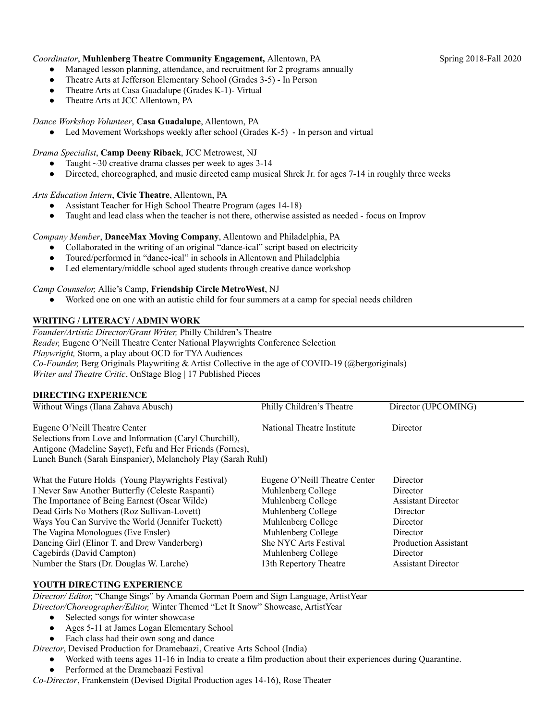### *Coordinator*, **Muhlenberg Theatre Community Engagement,** Allentown, PA Spring 2018-Fall 2020

- Managed lesson planning, attendance, and recruitment for 2 programs annually
- Theatre Arts at Jefferson Elementary School (Grades 3-5) In Person
- Theatre Arts at Casa Guadalupe (Grades K-1)- Virtual
- Theatre Arts at JCC Allentown, PA

#### *Dance Workshop Volunteer*, **Casa Guadalupe**, Allentown, PA

• Led Movement Workshops weekly after school (Grades K-5) - In person and virtual

*Drama Specialist*, **Camp Deeny Riback**, JCC Metrowest, NJ

- Taught  $\sim$ 30 creative drama classes per week to ages 3-14
- Directed, choreographed, and music directed camp musical Shrek Jr. for ages 7-14 in roughly three weeks

#### *Arts Education Intern*, **Civic Theatre**, Allentown, PA

- Assistant Teacher for High School Theatre Program (ages 14-18)
- Taught and lead class when the teacher is not there, otherwise assisted as needed focus on Improv

#### *Company Member*, **DanceMax Moving Company**, Allentown and Philadelphia, PA

- Collaborated in the writing of an original "dance-ical" script based on electricity
- Toured/performed in "dance-ical" in schools in Allentown and Philadelphia
- Led elementary/middle school aged students through creative dance workshop

#### *Camp Counselor,* Allie's Camp, **Friendship Circle MetroWest**, NJ

● Worked one on one with an autistic child for four summers at a camp for special needs children

## **WRITING / LITERACY / ADMIN WORK**

*Founder/Artistic Director/Grant Writer,* Philly Children's Theatre *Reader,* Eugene O'Neill Theatre Center National Playwrights Conference Selection *Playwright, Storm, a play about OCD for TYA Audiences Co-Founder,* Berg Originals Playwriting & Artist Collective in the age of COVID-19 (@bergoriginals) *Writer and Theatre Critic*, OnStage Blog | 17 Published Pieces

#### **DIRECTING EXPERIENCE**

| Without Wings (Ilana Zahava Abusch)                          | Philly Children's Theatre     | Director (UPCOMING)         |
|--------------------------------------------------------------|-------------------------------|-----------------------------|
| Eugene O'Neill Theatre Center                                | National Theatre Institute    | Director                    |
| Selections from Love and Information (Caryl Churchill),      |                               |                             |
| Antigone (Madeline Sayet), Fefu and Her Friends (Fornes),    |                               |                             |
| Lunch Bunch (Sarah Einspanier), Melancholy Play (Sarah Ruhl) |                               |                             |
| What the Future Holds (Young Playwrights Festival)           | Eugene O'Neill Theatre Center | Director                    |
| I Never Saw Another Butterfly (Celeste Raspanti)             | Muhlenberg College            | Director                    |
| The Importance of Being Earnest (Oscar Wilde)                | Muhlenberg College            | <b>Assistant Director</b>   |
| Dead Girls No Mothers (Roz Sullivan-Lovett)                  | Muhlenberg College            | Director                    |
| Ways You Can Survive the World (Jennifer Tuckett)            | Muhlenberg College            | Director                    |
| The Vagina Monologues (Eve Ensler)                           | Muhlenberg College            | Director                    |
| Dancing Girl (Elinor T. and Drew Vanderberg)                 | <b>She NYC Arts Festival</b>  | <b>Production Assistant</b> |
| Cagebirds (David Campton)                                    | Muhlenberg College            | Director                    |
| Number the Stars (Dr. Douglas W. Larche)                     | 13th Repertory Theatre        | <b>Assistant Director</b>   |

### **YOUTH DIRECTING EXPERIENCE**

*Director/ Editor,* "Change Sings" by Amanda Gorman Poem and Sign Language, ArtistYear *Director/Choreographer/Editor,* Winter Themed "Let It Snow" Showcase, ArtistYear

- Selected songs for winter showcase
- Ages 5-11 at James Logan Elementary School
- Each class had their own song and dance

*Director*, Devised Production for Dramebaazi, Creative Arts School (India)

- Worked with teens ages 11-16 in India to create a film production about their experiences during Quarantine.
- Performed at the Dramebaazi Festival

*Co-Director*, Frankenstein (Devised Digital Production ages 14-16), Rose Theater